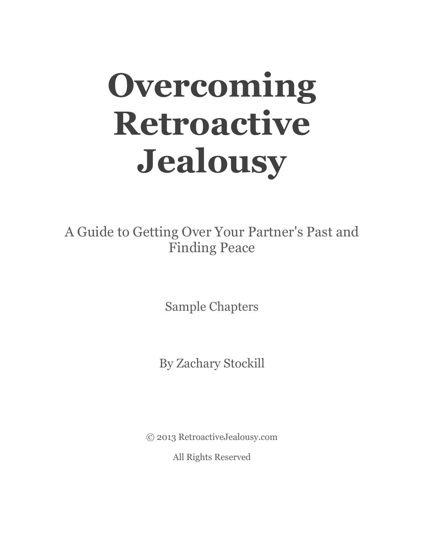# **Overcoming Retroactive Jealousy**

A Guide to Getting Over Your Partner's Past and Finding Peace

Sample Chapters

By Zachary Stockill

© 2013 RetroactiveJealousy.com

All Rights Reserved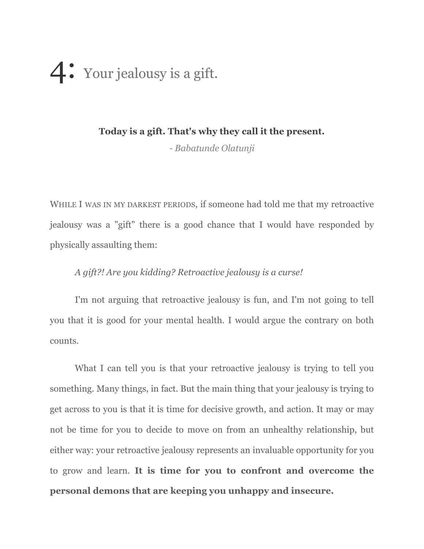### 4: Your jealousy is a gift.

#### **Today is a gift. That's why they call it the present.**

*- Babatunde Olatunji*

WHILE I WAS IN MY DARKEST PERIODS, if someone had told me that my retroactive jealousy was a "gift" there is a good chance that I would have responded by physically assaulting them:

#### *A gift?! Are you kidding? Retroactive jealousy is a curse!*

I'm not arguing that retroactive jealousy is fun, and I'm not going to tell you that it is good for your mental health. I would argue the contrary on both counts.

What I can tell you is that your retroactive jealousy is trying to tell you something. Many things, in fact. But the main thing that your jealousy is trying to get across to you is that it is time for decisive growth, and action. It may or may not be time for you to decide to move on from an unhealthy relationship, but either way: your retroactive jealousy represents an invaluable opportunity for you to grow and learn. **It is time for you to confront and overcome the personal demons that are keeping you unhappy and insecure.**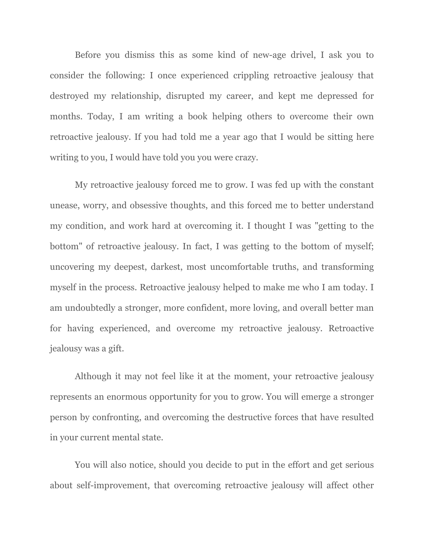Before you dismiss this as some kind of new-age drivel, I ask you to consider the following: I once experienced crippling retroactive jealousy that destroyed my relationship, disrupted my career, and kept me depressed for months. Today, I am writing a book helping others to overcome their own retroactive jealousy. If you had told me a year ago that I would be sitting here writing to you, I would have told you you were crazy.

My retroactive jealousy forced me to grow. I was fed up with the constant unease, worry, and obsessive thoughts, and this forced me to better understand my condition, and work hard at overcoming it. I thought I was "getting to the bottom" of retroactive jealousy. In fact, I was getting to the bottom of myself; uncovering my deepest, darkest, most uncomfortable truths, and transforming myself in the process. Retroactive jealousy helped to make me who I am today. I am undoubtedly a stronger, more confident, more loving, and overall better man for having experienced, and overcome my retroactive jealousy. Retroactive jealousy was a gift.

Although it may not feel like it at the moment, your retroactive jealousy represents an enormous opportunity for you to grow. You will emerge a stronger person by confronting, and overcoming the destructive forces that have resulted in your current mental state.

You will also notice, should you decide to put in the effort and get serious about self-improvement, that overcoming retroactive jealousy will affect other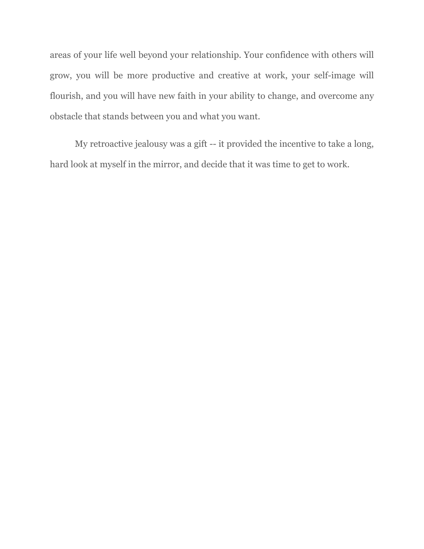areas of your life well beyond your relationship. Your confidence with others will grow, you will be more productive and creative at work, your self-image will flourish, and you will have new faith in your ability to change, and overcome any obstacle that stands between you and what you want.

My retroactive jealousy was a gift -- it provided the incentive to take a long, hard look at myself in the mirror, and decide that it was time to get to work.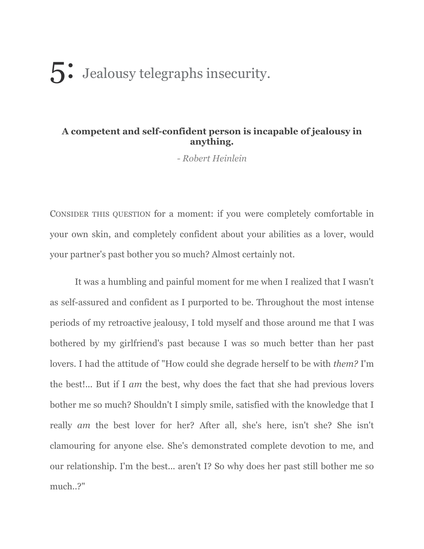## 5: Jealousy telegraphs insecurity.

#### **A competent and self-confident person is incapable of jealousy in anything.**

*- Robert Heinlein*

CONSIDER THIS QUESTION for a moment: if you were completely comfortable in your own skin, and completely confident about your abilities as a lover, would your partner's past bother you so much? Almost certainly not.

It was a humbling and painful moment for me when I realized that I wasn't as self-assured and confident as I purported to be. Throughout the most intense periods of my retroactive jealousy, I told myself and those around me that I was bothered by my girlfriend's past because I was so much better than her past lovers. I had the attitude of "How could she degrade herself to be with *them?* I'm the best!... But if I *am* the best, why does the fact that she had previous lovers bother me so much? Shouldn't I simply smile, satisfied with the knowledge that I really *am* the best lover for her? After all, she's here, isn't she? She isn't clamouring for anyone else. She's demonstrated complete devotion to me, and our relationship. I'm the best... aren't I? So why does her past still bother me so much..?"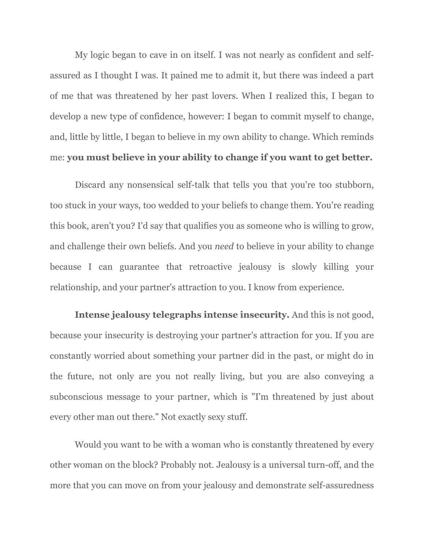My logic began to cave in on itself. I was not nearly as confident and selfassured as I thought I was. It pained me to admit it, but there was indeed a part of me that was threatened by her past lovers. When I realized this, I began to develop a new type of confidence, however: I began to commit myself to change, and, little by little, I began to believe in my own ability to change. Which reminds me: **you must believe in your ability to change if you want to get better.**

Discard any nonsensical self-talk that tells you that you're too stubborn, too stuck in your ways, too wedded to your beliefs to change them. You're reading this book, aren't you? I'd say that qualifies you as someone who is willing to grow, and challenge their own beliefs. And you *need* to believe in your ability to change because I can guarantee that retroactive jealousy is slowly killing your relationship, and your partner's attraction to you. I know from experience.

**Intense jealousy telegraphs intense insecurity.** And this is not good, because your insecurity is destroying your partner's attraction for you. If you are constantly worried about something your partner did in the past, or might do in the future, not only are you not really living, but you are also conveying a subconscious message to your partner, which is "I'm threatened by just about every other man out there." Not exactly sexy stuff.

Would you want to be with a woman who is constantly threatened by every other woman on the block? Probably not. Jealousy is a universal turn-off, and the more that you can move on from your jealousy and demonstrate self-assuredness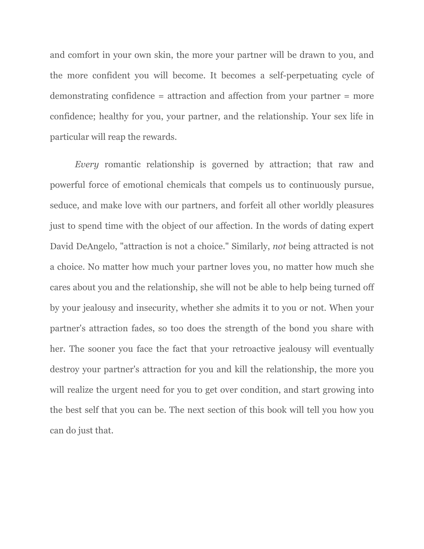and comfort in your own skin, the more your partner will be drawn to you, and the more confident you will become. It becomes a self-perpetuating cycle of demonstrating confidence = attraction and affection from your partner = more confidence; healthy for you, your partner, and the relationship. Your sex life in particular will reap the rewards.

*Every* romantic relationship is governed by attraction; that raw and powerful force of emotional chemicals that compels us to continuously pursue, seduce, and make love with our partners, and forfeit all other worldly pleasures just to spend time with the object of our affection. In the words of dating expert David DeAngelo, "attraction is not a choice." Similarly, *not* being attracted is not a choice. No matter how much your partner loves you, no matter how much she cares about you and the relationship, she will not be able to help being turned off by your jealousy and insecurity, whether she admits it to you or not. When your partner's attraction fades, so too does the strength of the bond you share with her. The sooner you face the fact that your retroactive jealousy will eventually destroy your partner's attraction for you and kill the relationship, the more you will realize the urgent need for you to get over condition, and start growing into the best self that you can be. The next section of this book will tell you how you can do just that.